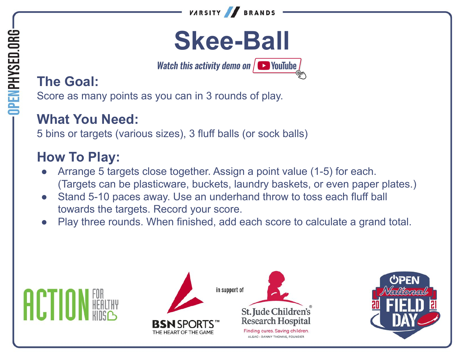

# **Skee-Ball**

**Watch this activity demo on**  $\sqrt{ }$  **VouTube** 

# **The Goal:**

OPENPHYSED.ORG

Score as many points as you can in 3 rounds of play.

### **What You Need:**

5 bins or targets (various sizes), 3 fluff balls (or sock balls)

### **How To Play:**

- Arrange 5 targets close together. Assign a point value (1-5) for each. (Targets can be plasticware, buckets, laundry baskets, or even paper plates.)
- Stand 5-10 paces away. Use an underhand throw to toss each fluff ball towards the targets. Record your score.
- Play three rounds. When finished, add each score to calculate a grand total.







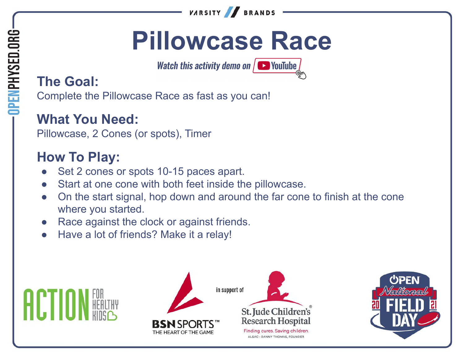

# **Pillowcase Race**

**Watch this activity demo on**  $\sqrt{ }$  **VouTube** 

# **The Goal:**

Complete the Pillowcase Race as fast as you can!

#### **What You Need:**

Pillowcase, 2 Cones (or spots), Timer

#### **How To Play:**

- Set 2 cones or spots 10-15 paces apart.
- Start at one cone with both feet inside the pillowcase.
- On the start signal, hop down and around the far cone to finish at the cone where you started.
- Race against the clock or against friends.
- Have a lot of friends? Make it a relay!







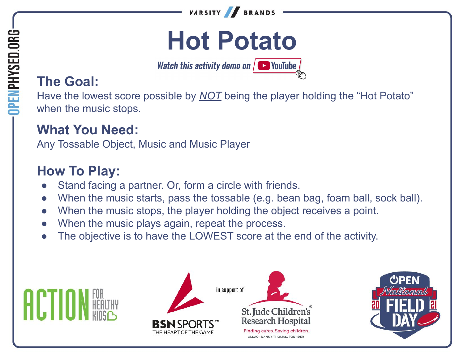

# **Hot Potato**

**Watch this activity demo on**  $\sqrt{ }$  **YouTube** 

# **The Goal:**

Have the lowest score possible by **NOT** being the player holding the "Hot Potato" when the music stops.

#### **What You Need:**

Any Tossable Object, Music and Music Player

#### **How To Play:**

HCIII

- Stand facing a partner. Or, form a circle with friends.
- When the music starts, pass the tossable (e.g. bean bag, foam ball, sock ball).
- When the music stops, the player holding the object receives a point.
- When the music plays again, repeat the process.
- The objective is to have the LOWEST score at the end of the activity.



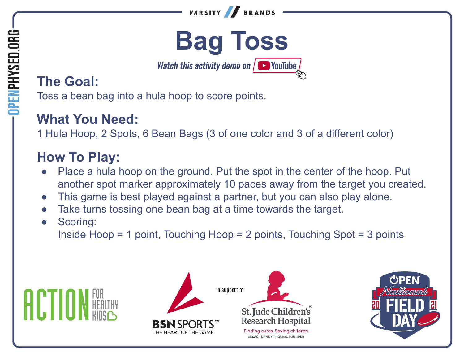



Watch this activity demo on  $\sqrt{ }$  YouTube

## **The Goal:**

**OPENPHYSED.ORG** 

Toss a bean bag into a hula hoop to score points.

### **What You Need:**

1 Hula Hoop, 2 Spots, 6 Bean Bags (3 of one color and 3 of a different color)

# **How To Play:**

- Place a hula hoop on the ground. Put the spot in the center of the hoop. Put another spot marker approximately 10 paces away from the target you created.
- This game is best played against a partner, but you can also play alone.
- Take turns tossing one bean bag at a time towards the target.
- Scoring:

Inside Hoop = 1 point, Touching Hoop = 2 points, Touching Spot = 3 points